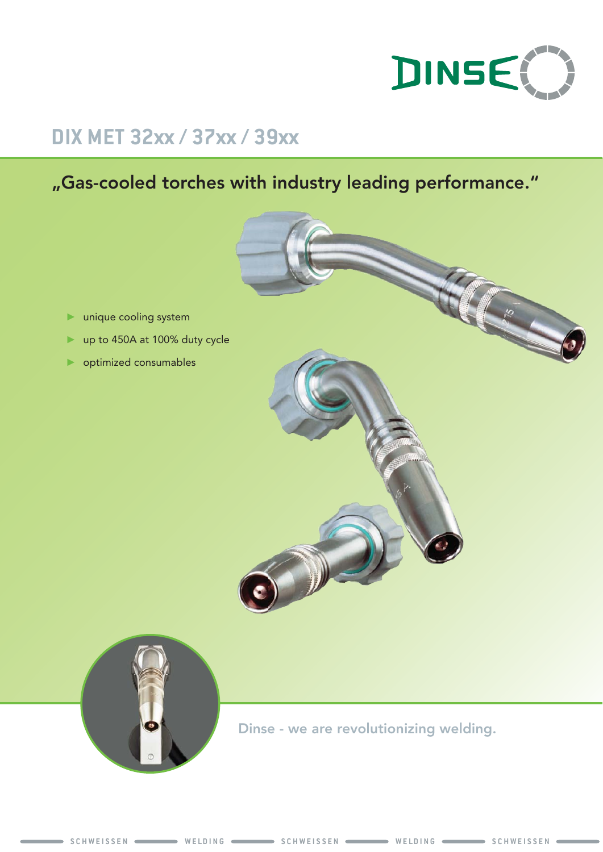

# **DIX MET 32xx / 37xx / 39xx**

# "Gas-cooled torches with industry leading performance."





Dinse - we are revolutionizing welding.